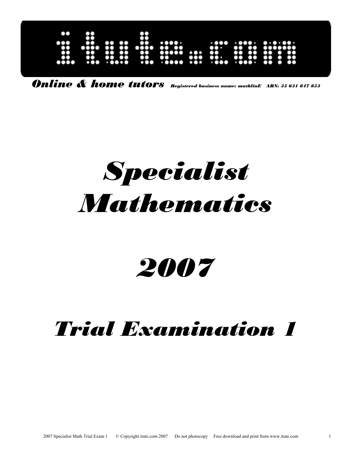| X                                    |                                                             |                                                        |                                                                                                                |
|--------------------------------------|-------------------------------------------------------------|--------------------------------------------------------|----------------------------------------------------------------------------------------------------------------|
|                                      |                                                             |                                                        |                                                                                                                |
| $\bullet\bullet$<br>$\bullet\bullet$ | $\cdots$                                                    | .                                                      |                                                                                                                |
| $\bullet\bullet$<br>$\bullet$<br>00  | $\cdots$<br>.                                               | $\mathbf{r}$<br>$\bullet$                              | $\bullet\bullet\bullet\bullet\bullet$                                                                          |
| . 0000                               |                                                             |                                                        | .<br>$\bullet\bullet$                                                                                          |
|                                      | <br>$\bullet$<br>$\bullet\bullet\bullet\bullet$<br>œ<br>aoo | .<br>$\bullet\bullet$<br>$\bullet\bullet\bullet$<br>00 | <br>$\bullet\bullet\bullet$<br><b>TOP</b><br>$\bullet$<br>$\bullet\bullet\cdot$<br>œ<br>.000000000<br>$\cdots$ |

*Online & home tutors Registered business name: mathlinE ABN: 35 631 847 853*

# *Specialist Mathematics*

## *2007*

### *Trial Examination 1*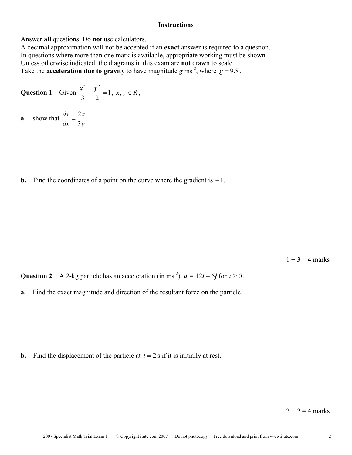#### **Instructions**

Answer **all** questions. Do **not** use calculators.

A decimal approximation will not be accepted if an **exact** answer is required to a question. In questions where more than one mark is available, appropriate working must be shown. Unless otherwise indicated, the diagrams in this exam are **not** drawn to scale. Take the **acceleration due to gravity** to have magnitude *g* ms<sup>-2</sup>, where  $g = 9.8$ .

**Question 1** Given 
$$
\frac{x^2}{3} - \frac{y^2}{2} = 1
$$
,  $x, y \in R$ ,

**a.** show that *y x dx dy* 3  $=\frac{2x}{2}$ .

**b.** Find the coordinates of a point on the curve where the gradient is −1.

 $1 + 3 = 4$  marks

**Question 2** A 2-kg particle has an acceleration (in ms<sup>-2</sup>)  $a = 12i - 5j$  for  $t \ge 0$ .

**a.** Find the exact magnitude and direction of the resultant force on the particle.

**b.** Find the displacement of the particle at  $t = 2$  s if it is initially at rest.

 $2 + 2 = 4$  marks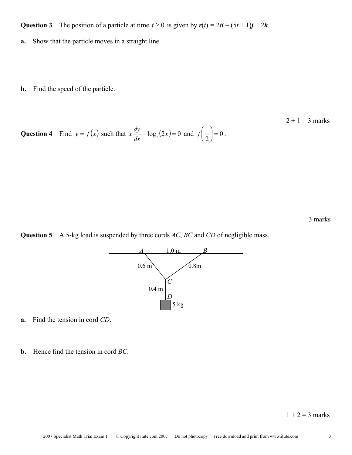**Question 3** The position of a particle at time  $t \ge 0$  is given by  $r(t) = 2t\mathbf{i} - (5t + 1)\mathbf{j} + 2\mathbf{k}$ .

**a.** Show that the particle moves in a straight line.

**b.** Find the speed of the particle.

 $2 + 1 = 3$  marks **Question 4** Find  $y = f(x)$  such that  $x - \log_e(2x) = 0$  $x\frac{dy}{dx} - \log_e(2x) = 0$  and  $f\left(\frac{1}{2}\right) = 0$  $\left(\frac{1}{2}\right)$  = J  $\left(\frac{1}{2}\right)$  $\setminus$  $f\left(\frac{1}{2}\right) = 0$ .

3 marks





**a.** Find the tension in cord *CD*.

**b.** Hence find the tension in cord *BC*.

 $1 + 2 = 3$  marks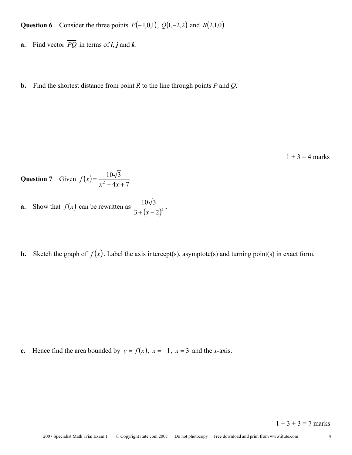**Question 6** Consider the three points  $P(-1,0,1)$ ,  $Q(1,-2,2)$  and  $R(2,1,0)$ .

- **a.** Find vector  $\overrightarrow{PQ}$  in terms of *i*, *j* and *k*.
- **b.** Find the shortest distance from point *R* to the line through points *P* and *Q*.

 $1 + 3 = 4$  marks

Question 7 Given  $f(x) = \frac{10\sqrt{3}}{x^2 - 4x + 7}$ .

**a.** Show that 
$$
f(x)
$$
 can be rewritten as  $\frac{10\sqrt{3}}{3 + (x-2)^2}$ .

**b.** Sketch the graph of  $f(x)$ . Label the axis intercept(s), asymptote(s) and turning point(s) in exact form.

**c.** Hence find the area bounded by  $y = f(x)$ ,  $x = -1$ ,  $x = 3$  and the *x*-axis.

 $1 + 3 + 3 = 7$  marks